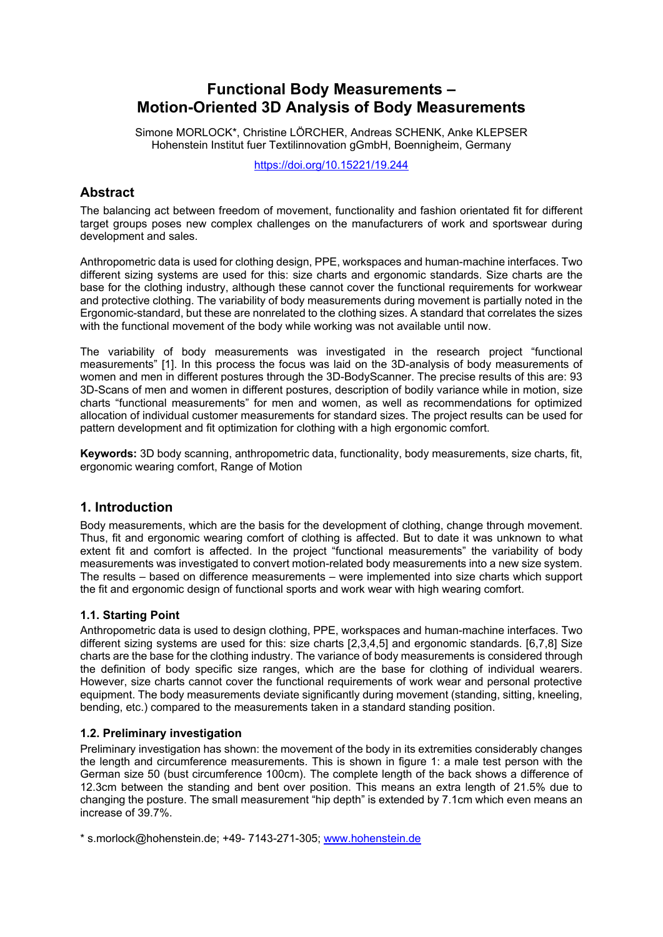# **Functional Body Measurements – Motion-Oriented 3D Analysis of Body Measurements**

Simone MORLOCK\*, Christine LÖRCHER, Andreas SCHENK, Anke KLEPSER Hohenstein Institut fuer Textilinnovation gGmbH, Boennigheim, Germany

https://doi.org/10.15221/19.244

# **Abstract**

The balancing act between freedom of movement, functionality and fashion orientated fit for different target groups poses new complex challenges on the manufacturers of work and sportswear during development and sales.

Anthropometric data is used for clothing design, PPE, workspaces and human-machine interfaces. Two different sizing systems are used for this: size charts and ergonomic standards. Size charts are the base for the clothing industry, although these cannot cover the functional requirements for workwear and protective clothing. The variability of body measurements during movement is partially noted in the Ergonomic-standard, but these are nonrelated to the clothing sizes. A standard that correlates the sizes with the functional movement of the body while working was not available until now.

The variability of body measurements was investigated in the research project "functional measurements" [1]. In this process the focus was laid on the 3D-analysis of body measurements of women and men in different postures through the 3D-BodyScanner. The precise results of this are: 93 3D-Scans of men and women in different postures, description of bodily variance while in motion, size charts "functional measurements" for men and women, as well as recommendations for optimized allocation of individual customer measurements for standard sizes. The project results can be used for pattern development and fit optimization for clothing with a high ergonomic comfort.

**Keywords:** 3D body scanning, anthropometric data, functionality, body measurements, size charts, fit, ergonomic wearing comfort, Range of Motion

# **1. Introduction**

Body measurements, which are the basis for the development of clothing, change through movement. Thus, fit and ergonomic wearing comfort of clothing is affected. But to date it was unknown to what extent fit and comfort is affected. In the project "functional measurements" the variability of body measurements was investigated to convert motion-related body measurements into a new size system. The results – based on difference measurements – were implemented into size charts which support the fit and ergonomic design of functional sports and work wear with high wearing comfort.

## **1.1. Starting Point**

Anthropometric data is used to design clothing, PPE, workspaces and human-machine interfaces. Two different sizing systems are used for this: size charts [2,3,4,5] and ergonomic standards. [6,7,8] Size charts are the base for the clothing industry. The variance of body measurements is considered through the definition of body specific size ranges, which are the base for clothing of individual wearers. However, size charts cannot cover the functional requirements of work wear and personal protective equipment. The body measurements deviate significantly during movement (standing, sitting, kneeling, bending, etc.) compared to the measurements taken in a standard standing position.

## **1.2. Preliminary investigation**

Preliminary investigation has shown: the movement of the body in its extremities considerably changes the length and circumference measurements. This is shown in figure 1: a male test person with the German size 50 (bust circumference 100cm). The complete length of the back shows a difference of 12.3cm between the standing and bent over position. This means an extra length of 21.5% due to changing the posture. The small measurement "hip depth" is extended by 7.1cm which even means an increase of 39.7%.

\* s.morlock@hohenstein.de; +49- 7143-271-305; www.hohenstein.de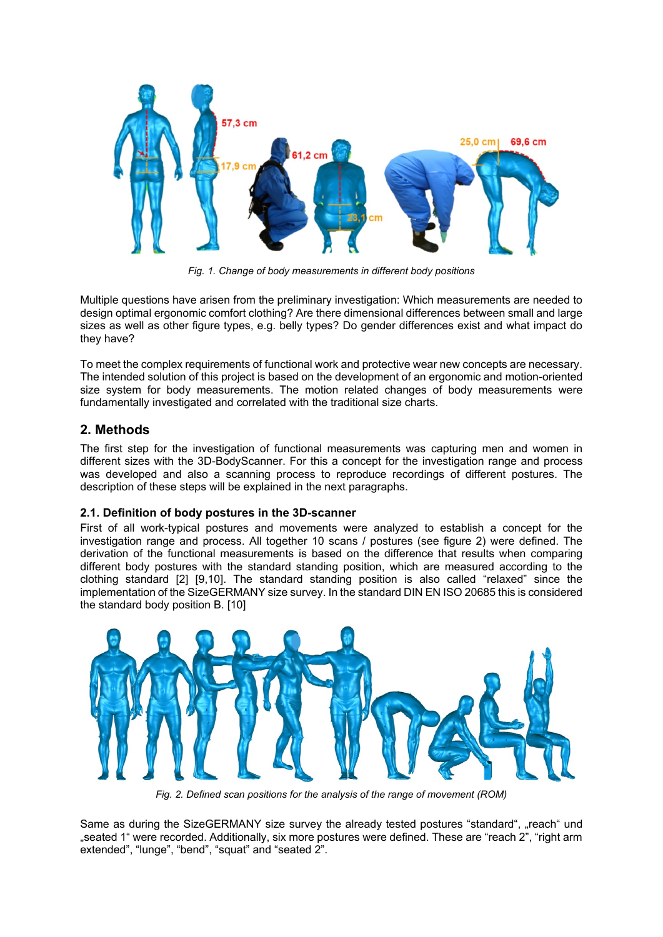

*Fig. 1. Change of body measurements in different body positions*

Multiple questions have arisen from the preliminary investigation: Which measurements are needed to design optimal ergonomic comfort clothing? Are there dimensional differences between small and large sizes as well as other figure types, e.g. belly types? Do gender differences exist and what impact do they have?

To meet the complex requirements of functional work and protective wear new concepts are necessary. The intended solution of this project is based on the development of an ergonomic and motion-oriented size system for body measurements. The motion related changes of body measurements were fundamentally investigated and correlated with the traditional size charts.

# **2. Methods**

The first step for the investigation of functional measurements was capturing men and women in different sizes with the 3D-BodyScanner. For this a concept for the investigation range and process was developed and also a scanning process to reproduce recordings of different postures. The description of these steps will be explained in the next paragraphs.

## **2.1. Definition of body postures in the 3D-scanner**

First of all work-typical postures and movements were analyzed to establish a concept for the investigation range and process. All together 10 scans / postures (see figure 2) were defined. The derivation of the functional measurements is based on the difference that results when comparing different body postures with the standard standing position, which are measured according to the clothing standard [2] [9,10]. The standard standing position is also called "relaxed" since the implementation of the SizeGERMANY size survey. In the standard DIN EN ISO 20685 this is considered the standard body position B. [10]



*Fig. 2. Defined scan positions for the analysis of the range of movement (ROM)*

Same as during the SizeGERMANY size survey the already tested postures "standard", "reach" und "seated 1" were recorded. Additionally, six more postures were defined. These are "reach 2", "right arm extended", "lunge", "bend", "squat" and "seated 2".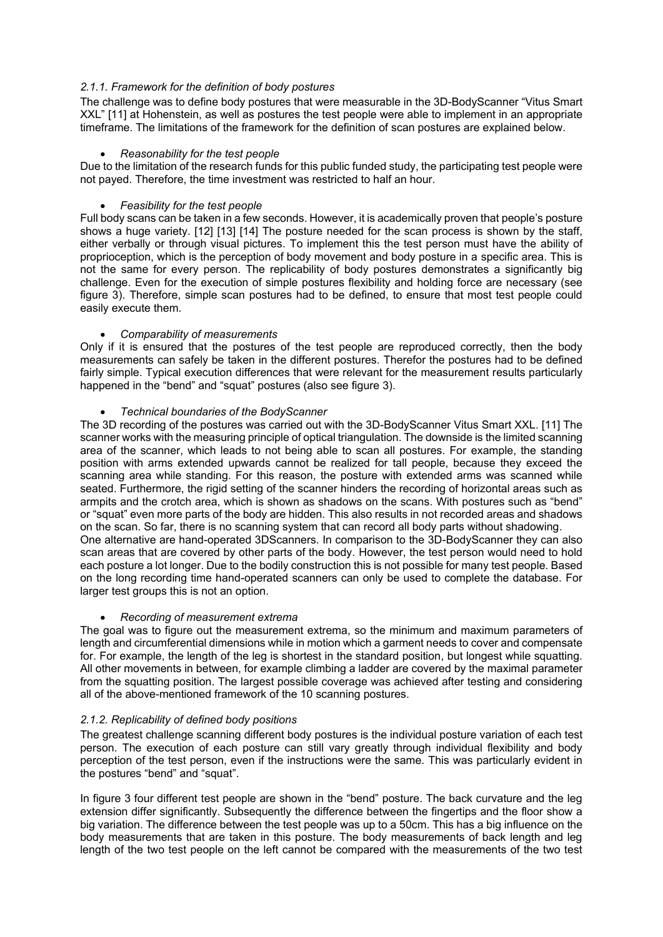### *2.1.1. Framework for the definition of body postures*

The challenge was to define body postures that were measurable in the 3D-BodyScanner "Vitus Smart XXL" [11] at Hohenstein, as well as postures the test people were able to implement in an appropriate timeframe. The limitations of the framework for the definition of scan postures are explained below.

#### *Reasonability for the test people*

Due to the limitation of the research funds for this public funded study, the participating test people were not payed. Therefore, the time investment was restricted to half an hour.

#### *Feasibility for the test people*

Full body scans can be taken in a few seconds. However, it is academically proven that people's posture shows a huge variety. [12] [13] [14] The posture needed for the scan process is shown by the staff, either verbally or through visual pictures. To implement this the test person must have the ability of proprioception, which is the perception of body movement and body posture in a specific area. This is not the same for every person. The replicability of body postures demonstrates a significantly big challenge. Even for the execution of simple postures flexibility and holding force are necessary (see figure 3). Therefore, simple scan postures had to be defined, to ensure that most test people could easily execute them.

#### *Comparability of measurements*

Only if it is ensured that the postures of the test people are reproduced correctly, then the body measurements can safely be taken in the different postures. Therefor the postures had to be defined fairly simple. Typical execution differences that were relevant for the measurement results particularly happened in the "bend" and "squat" postures (also see figure 3).

#### *Technical boundaries of the BodyScanner*

The 3D recording of the postures was carried out with the 3D-BodyScanner Vitus Smart XXL. [11] The scanner works with the measuring principle of optical triangulation. The downside is the limited scanning area of the scanner, which leads to not being able to scan all postures. For example, the standing position with arms extended upwards cannot be realized for tall people, because they exceed the scanning area while standing. For this reason, the posture with extended arms was scanned while seated. Furthermore, the rigid setting of the scanner hinders the recording of horizontal areas such as armpits and the crotch area, which is shown as shadows on the scans. With postures such as "bend" or "squat" even more parts of the body are hidden. This also results in not recorded areas and shadows on the scan. So far, there is no scanning system that can record all body parts without shadowing. One alternative are hand-operated 3DScanners. In comparison to the 3D-BodyScanner they can also scan areas that are covered by other parts of the body. However, the test person would need to hold each posture a lot longer. Due to the bodily construction this is not possible for many test people. Based on the long recording time hand-operated scanners can only be used to complete the database. For larger test groups this is not an option.

#### *Recording of measurement extrema*

The goal was to figure out the measurement extrema, so the minimum and maximum parameters of length and circumferential dimensions while in motion which a garment needs to cover and compensate for. For example, the length of the leg is shortest in the standard position, but longest while squatting. All other movements in between, for example climbing a ladder are covered by the maximal parameter from the squatting position. The largest possible coverage was achieved after testing and considering all of the above-mentioned framework of the 10 scanning postures.

## *2.1.2. Replicability of defined body positions*

The greatest challenge scanning different body postures is the individual posture variation of each test person. The execution of each posture can still vary greatly through individual flexibility and body perception of the test person, even if the instructions were the same. This was particularly evident in the postures "bend" and "squat".

In figure 3 four different test people are shown in the "bend" posture. The back curvature and the leg extension differ significantly. Subsequently the difference between the fingertips and the floor show a big variation. The difference between the test people was up to a 50cm. This has a big influence on the body measurements that are taken in this posture. The body measurements of back length and leg length of the two test people on the left cannot be compared with the measurements of the two test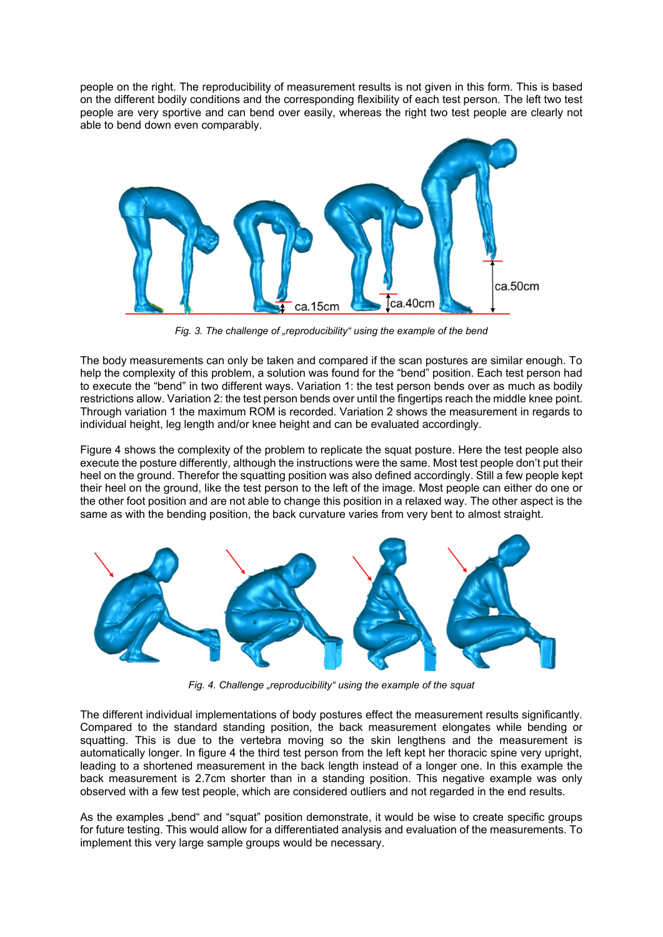people on the right. The reproducibility of measurement results is not given in this form. This is based on the different bodily conditions and the corresponding flexibility of each test person. The left two test people are very sportive and can bend over easily, whereas the right two test people are clearly not able to bend down even comparably.



*Fig. 3. The challenge of "reproducibility" using the example of the bend*

The body measurements can only be taken and compared if the scan postures are similar enough. To help the complexity of this problem, a solution was found for the "bend" position. Each test person had to execute the "bend" in two different ways. Variation 1: the test person bends over as much as bodily restrictions allow. Variation 2: the test person bends over until the fingertips reach the middle knee point. Through variation 1 the maximum ROM is recorded. Variation 2 shows the measurement in regards to individual height, leg length and/or knee height and can be evaluated accordingly.

Figure 4 shows the complexity of the problem to replicate the squat posture. Here the test people also execute the posture differently, although the instructions were the same. Most test people don't put their heel on the ground. Therefor the squatting position was also defined accordingly. Still a few people kept their heel on the ground, like the test person to the left of the image. Most people can either do one or the other foot position and are not able to change this position in a relaxed way. The other aspect is the same as with the bending position, the back curvature varies from very bent to almost straight.



Fig. 4. Challenge "reproducibility" using the example of the squat

The different individual implementations of body postures effect the measurement results significantly. Compared to the standard standing position, the back measurement elongates while bending or squatting. This is due to the vertebra moving so the skin lengthens and the measurement is automatically longer. In figure 4 the third test person from the left kept her thoracic spine very upright, leading to a shortened measurement in the back length instead of a longer one. In this example the back measurement is 2.7cm shorter than in a standing position. This negative example was only observed with a few test people, which are considered outliers and not regarded in the end results.

As the examples "bend" and "squat" position demonstrate, it would be wise to create specific groups for future testing. This would allow for a differentiated analysis and evaluation of the measurements. To implement this very large sample groups would be necessary.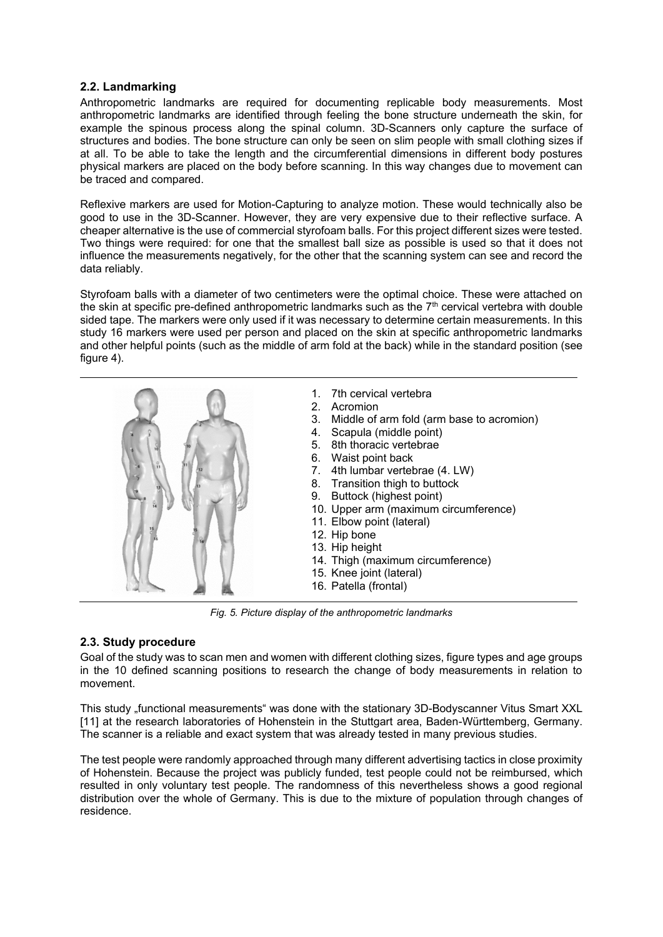## **2.2. Landmarking**

Anthropometric landmarks are required for documenting replicable body measurements. Most anthropometric landmarks are identified through feeling the bone structure underneath the skin, for example the spinous process along the spinal column. 3D-Scanners only capture the surface of structures and bodies. The bone structure can only be seen on slim people with small clothing sizes if at all. To be able to take the length and the circumferential dimensions in different body postures physical markers are placed on the body before scanning. In this way changes due to movement can be traced and compared.

Reflexive markers are used for Motion-Capturing to analyze motion. These would technically also be good to use in the 3D-Scanner. However, they are very expensive due to their reflective surface. A cheaper alternative is the use of commercial styrofoam balls. For this project different sizes were tested. Two things were required: for one that the smallest ball size as possible is used so that it does not influence the measurements negatively, for the other that the scanning system can see and record the data reliably.

Styrofoam balls with a diameter of two centimeters were the optimal choice. These were attached on the skin at specific pre-defined anthropometric landmarks such as the  $7<sup>th</sup>$  cervical vertebra with double sided tape. The markers were only used if it was necessary to determine certain measurements. In this study 16 markers were used per person and placed on the skin at specific anthropometric landmarks and other helpful points (such as the middle of arm fold at the back) while in the standard position (see figure 4).



*Fig. 5. Picture display of the anthropometric landmarks*

## **2.3. Study procedure**

Goal of the study was to scan men and women with different clothing sizes, figure types and age groups in the 10 defined scanning positions to research the change of body measurements in relation to movement.

This study "functional measurements" was done with the stationary 3D-Bodyscanner Vitus Smart XXL [11] at the research laboratories of Hohenstein in the Stuttgart area, Baden-Württemberg, Germany. The scanner is a reliable and exact system that was already tested in many previous studies.

The test people were randomly approached through many different advertising tactics in close proximity of Hohenstein. Because the project was publicly funded, test people could not be reimbursed, which resulted in only voluntary test people. The randomness of this nevertheless shows a good regional distribution over the whole of Germany. This is due to the mixture of population through changes of residence.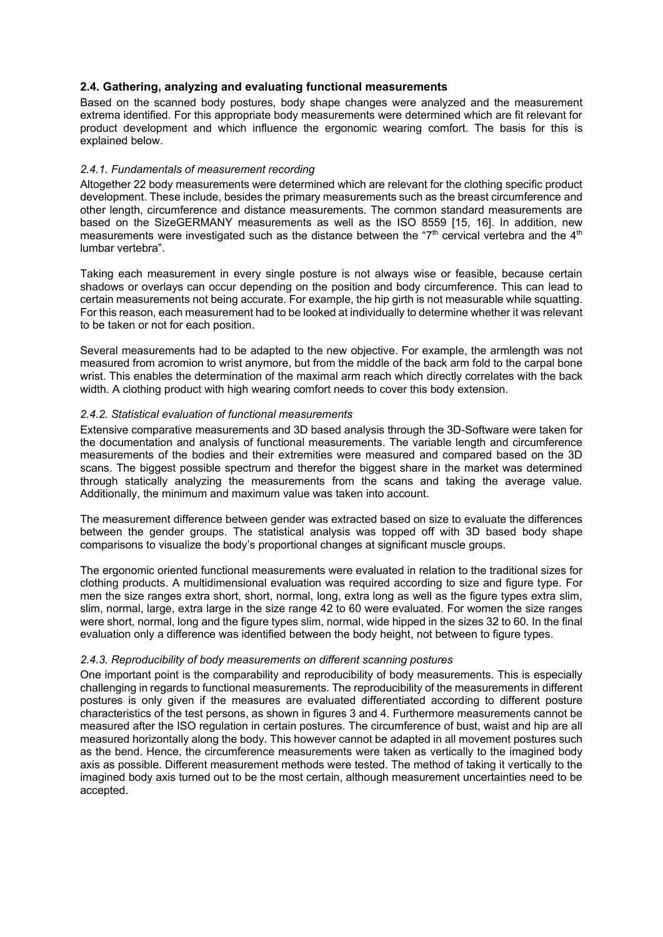## **2.4. Gathering, analyzing and evaluating functional measurements**

Based on the scanned body postures, body shape changes were analyzed and the measurement extrema identified. For this appropriate body measurements were determined which are fit relevant for product development and which influence the ergonomic wearing comfort. The basis for this is explained below.

#### *2.4.1. Fundamentals of measurement recording*

Altogether 22 body measurements were determined which are relevant for the clothing specific product development. These include, besides the primary measurements such as the breast circumference and other length, circumference and distance measurements. The common standard measurements are based on the SizeGERMANY measurements as well as the ISO 8559 [15, 16]. In addition, new measurements were investigated such as the distance between the " $7<sup>th</sup>$  cervical vertebra and the  $4<sup>th</sup>$ lumbar vertebra".

Taking each measurement in every single posture is not always wise or feasible, because certain shadows or overlays can occur depending on the position and body circumference. This can lead to certain measurements not being accurate. For example, the hip girth is not measurable while squatting. For this reason, each measurement had to be looked at individually to determine whether it was relevant to be taken or not for each position.

Several measurements had to be adapted to the new objective. For example, the armlength was not measured from acromion to wrist anymore, but from the middle of the back arm fold to the carpal bone wrist. This enables the determination of the maximal arm reach which directly correlates with the back width. A clothing product with high wearing comfort needs to cover this body extension.

#### *2.4.2. Statistical evaluation of functional measurements*

Extensive comparative measurements and 3D based analysis through the 3D-Software were taken for the documentation and analysis of functional measurements. The variable length and circumference measurements of the bodies and their extremities were measured and compared based on the 3D scans. The biggest possible spectrum and therefor the biggest share in the market was determined through statically analyzing the measurements from the scans and taking the average value. Additionally, the minimum and maximum value was taken into account.

The measurement difference between gender was extracted based on size to evaluate the differences between the gender groups. The statistical analysis was topped off with 3D based body shape comparisons to visualize the body's proportional changes at significant muscle groups.

The ergonomic oriented functional measurements were evaluated in relation to the traditional sizes for clothing products. A multidimensional evaluation was required according to size and figure type. For men the size ranges extra short, short, normal, long, extra long as well as the figure types extra slim, slim, normal, large, extra large in the size range 42 to 60 were evaluated. For women the size ranges were short, normal, long and the figure types slim, normal, wide hipped in the sizes 32 to 60. In the final evaluation only a difference was identified between the body height, not between to figure types.

#### *2.4.3. Reproducibility of body measurements on different scanning postures*

One important point is the comparability and reproducibility of body measurements. This is especially challenging in regards to functional measurements. The reproducibility of the measurements in different postures is only given if the measures are evaluated differentiated according to different posture characteristics of the test persons, as shown in figures 3 and 4. Furthermore measurements cannot be measured after the ISO regulation in certain postures. The circumference of bust, waist and hip are all measured horizontally along the body. This however cannot be adapted in all movement postures such as the bend. Hence, the circumference measurements were taken as vertically to the imagined body axis as possible. Different measurement methods were tested. The method of taking it vertically to the imagined body axis turned out to be the most certain, although measurement uncertainties need to be accepted.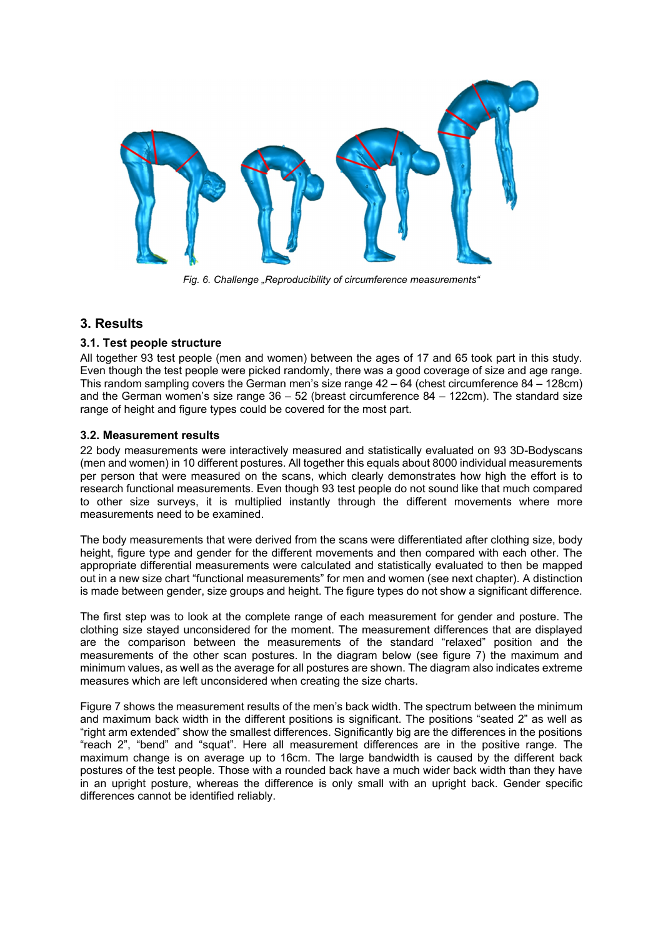

*Fig. 6. Challenge "Reproducibility of circumference measurements"*

## **3. Results**

## **3.1. Test people structure**

All together 93 test people (men and women) between the ages of 17 and 65 took part in this study. Even though the test people were picked randomly, there was a good coverage of size and age range. This random sampling covers the German men's size range 42 – 64 (chest circumference 84 – 128cm) and the German women's size range  $36 - 52$  (breast circumference  $84 - 122$ cm). The standard size range of height and figure types could be covered for the most part.

### **3.2. Measurement results**

22 body measurements were interactively measured and statistically evaluated on 93 3D-Bodyscans (men and women) in 10 different postures. All together this equals about 8000 individual measurements per person that were measured on the scans, which clearly demonstrates how high the effort is to research functional measurements. Even though 93 test people do not sound like that much compared to other size surveys, it is multiplied instantly through the different movements where more measurements need to be examined.

The body measurements that were derived from the scans were differentiated after clothing size, body height, figure type and gender for the different movements and then compared with each other. The appropriate differential measurements were calculated and statistically evaluated to then be mapped out in a new size chart "functional measurements" for men and women (see next chapter). A distinction is made between gender, size groups and height. The figure types do not show a significant difference.

The first step was to look at the complete range of each measurement for gender and posture. The clothing size stayed unconsidered for the moment. The measurement differences that are displayed are the comparison between the measurements of the standard "relaxed" position and the measurements of the other scan postures. In the diagram below (see figure 7) the maximum and minimum values, as well as the average for all postures are shown. The diagram also indicates extreme measures which are left unconsidered when creating the size charts.

Figure 7 shows the measurement results of the men's back width. The spectrum between the minimum and maximum back width in the different positions is significant. The positions "seated 2" as well as "right arm extended" show the smallest differences. Significantly big are the differences in the positions "reach 2", "bend" and "squat". Here all measurement differences are in the positive range. The maximum change is on average up to 16cm. The large bandwidth is caused by the different back postures of the test people. Those with a rounded back have a much wider back width than they have in an upright posture, whereas the difference is only small with an upright back. Gender specific differences cannot be identified reliably.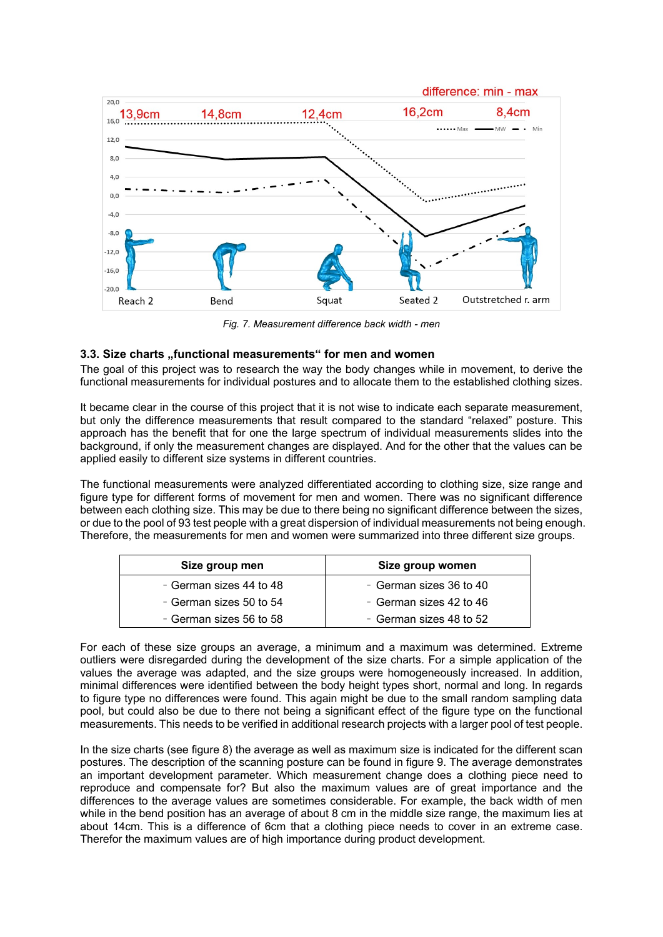

*Fig. 7. Measurement difference back width - men*

## **3.3. Size charts "functional measurements" for men and women**

The goal of this project was to research the way the body changes while in movement, to derive the functional measurements for individual postures and to allocate them to the established clothing sizes.

It became clear in the course of this project that it is not wise to indicate each separate measurement, but only the difference measurements that result compared to the standard "relaxed" posture. This approach has the benefit that for one the large spectrum of individual measurements slides into the background, if only the measurement changes are displayed. And for the other that the values can be applied easily to different size systems in different countries.

The functional measurements were analyzed differentiated according to clothing size, size range and figure type for different forms of movement for men and women. There was no significant difference between each clothing size. This may be due to there being no significant difference between the sizes, or due to the pool of 93 test people with a great dispersion of individual measurements not being enough. Therefore, the measurements for men and women were summarized into three different size groups.

| Size group men          | Size group women        |  |  |  |  |  |  |
|-------------------------|-------------------------|--|--|--|--|--|--|
| - German sizes 44 to 48 | - German sizes 36 to 40 |  |  |  |  |  |  |
| - German sizes 50 to 54 | - German sizes 42 to 46 |  |  |  |  |  |  |
| - German sizes 56 to 58 | - German sizes 48 to 52 |  |  |  |  |  |  |

For each of these size groups an average, a minimum and a maximum was determined. Extreme outliers were disregarded during the development of the size charts. For a simple application of the values the average was adapted, and the size groups were homogeneously increased. In addition, minimal differences were identified between the body height types short, normal and long. In regards to figure type no differences were found. This again might be due to the small random sampling data pool, but could also be due to there not being a significant effect of the figure type on the functional measurements. This needs to be verified in additional research projects with a larger pool of test people.

In the size charts (see figure 8) the average as well as maximum size is indicated for the different scan postures. The description of the scanning posture can be found in figure 9. The average demonstrates an important development parameter. Which measurement change does a clothing piece need to reproduce and compensate for? But also the maximum values are of great importance and the differences to the average values are sometimes considerable. For example, the back width of men while in the bend position has an average of about 8 cm in the middle size range, the maximum lies at about 14cm. This is a difference of 6cm that a clothing piece needs to cover in an extreme case. Therefor the maximum values are of high importance during product development.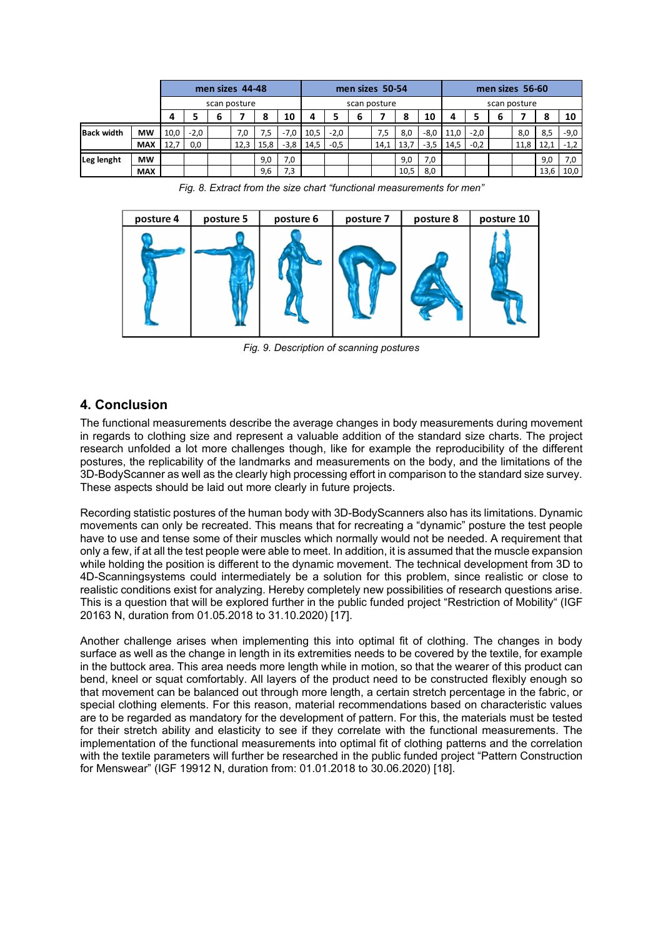|                   |              |      | men sizes 44-48 |   |      |      |              | men sizes 50-54 |        |   |      |      |              |      | men sizes 56-60 |   |      |      |        |  |
|-------------------|--------------|------|-----------------|---|------|------|--------------|-----------------|--------|---|------|------|--------------|------|-----------------|---|------|------|--------|--|
|                   | scan posture |      |                 |   |      |      | scan posture |                 |        |   |      |      | scan posture |      |                 |   |      |      |        |  |
|                   |              | д    |                 | 6 |      |      | 10           |                 |        | h |      | 8    | 10           |      |                 | b |      |      | 10     |  |
| <b>Back width</b> | <b>MW</b>    | 10,0 | $-2,0$          |   | 7,0  | 7,5  | $-7,0$       | 10,5            | $-2,0$ |   | 7,5  | 8,0  | -8,0         | 11.0 | $-2,0$          |   | 8,0  | 8,5  | $-9,0$ |  |
|                   | <b>MAX</b>   | 12.7 | 0,0             |   | 12,3 | 15,8 | $-3,8$       | 14,5            | $-0,5$ |   | 14,1 | 13,7 | $-3,5$       | 14.5 | $-0,2$          |   | 11,8 |      | $-1,2$ |  |
| Leg lenght        | <b>MW</b>    |      |                 |   |      | 9,0  | 7,0          |                 |        |   |      | 9,0  | 7,0          |      |                 |   |      | 9,0  | 7,0    |  |
|                   | <b>MAX</b>   |      |                 |   |      | 9,6  | 7,3          |                 |        |   |      | 10,5 | 8,0          |      |                 |   |      | 13,6 | 10,0   |  |

*Fig. 8. Extract from the size chart "functional measurements for men"*



*Fig. 9. Description of scanning postures*

# **4. Conclusion**

The functional measurements describe the average changes in body measurements during movement in regards to clothing size and represent a valuable addition of the standard size charts. The project research unfolded a lot more challenges though, like for example the reproducibility of the different postures, the replicability of the landmarks and measurements on the body, and the limitations of the 3D-BodyScanner as well as the clearly high processing effort in comparison to the standard size survey. These aspects should be laid out more clearly in future projects.

Recording statistic postures of the human body with 3D-BodyScanners also has its limitations. Dynamic movements can only be recreated. This means that for recreating a "dynamic" posture the test people have to use and tense some of their muscles which normally would not be needed. A requirement that only a few, if at all the test people were able to meet. In addition, it is assumed that the muscle expansion while holding the position is different to the dynamic movement. The technical development from 3D to 4D-Scanningsystems could intermediately be a solution for this problem, since realistic or close to realistic conditions exist for analyzing. Hereby completely new possibilities of research questions arise. This is a question that will be explored further in the public funded project "Restriction of Mobility" (IGF 20163 N, duration from 01.05.2018 to 31.10.2020) [17].

Another challenge arises when implementing this into optimal fit of clothing. The changes in body surface as well as the change in length in its extremities needs to be covered by the textile, for example in the buttock area. This area needs more length while in motion, so that the wearer of this product can bend, kneel or squat comfortably. All layers of the product need to be constructed flexibly enough so that movement can be balanced out through more length, a certain stretch percentage in the fabric, or special clothing elements. For this reason, material recommendations based on characteristic values are to be regarded as mandatory for the development of pattern. For this, the materials must be tested for their stretch ability and elasticity to see if they correlate with the functional measurements. The implementation of the functional measurements into optimal fit of clothing patterns and the correlation with the textile parameters will further be researched in the public funded project "Pattern Construction for Menswear" (IGF 19912 N, duration from: 01.01.2018 to 30.06.2020) [18].